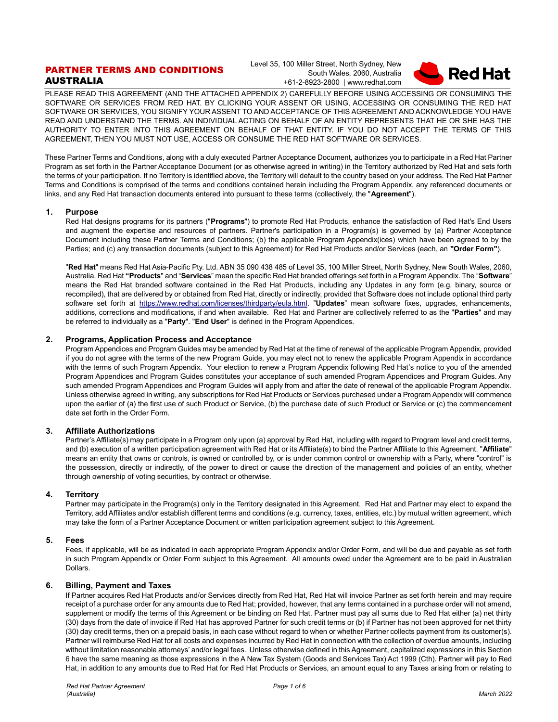## PARTNER TERMS AND CONDITIONS AUSTRALIA

Level 35, 100 Miller Street, North Sydney, New South Wales, 2060, Australia +61-2-8923-2800 | www.redhat.com



PLEASE READ THIS AGREEMENT (AND THE ATTACHED APPENDIX 2) CAREFULLY BEFORE USING ACCESSING OR CONSUMING THE SOFTWARE OR SERVICES FROM RED HAT. BY CLICKING YOUR ASSENT OR USING, ACCESSING OR CONSUMING THE RED HAT SOFTWARE OR SERVICES, YOU SIGNIFY YOUR ASSENT TO AND ACCEPTANCE OF THIS AGREEMENT AND ACKNOWLEDGE YOU HAVE READ AND UNDERSTAND THE TERMS. AN INDIVIDUAL ACTING ON BEHALF OF AN ENTITY REPRESENTS THAT HE OR SHE HAS THE AUTHORITY TO ENTER INTO THIS AGREEMENT ON BEHALF OF THAT ENTITY. IF YOU DO NOT ACCEPT THE TERMS OF THIS AGREEMENT, THEN YOU MUST NOT USE, ACCESS OR CONSUME THE RED HAT SOFTWARE OR SERVICES.

These Partner Terms and Conditions, along with a duly executed Partner Acceptance Document, authorizes you to participate in a Red Hat Partner Program as set forth in the Partner Acceptance Document (or as otherwise agreed in writing) in the Territory authorized by Red Hat and sets forth the terms of your participation. If no Territory is identified above, the Territory will default to the country based on your address. The Red Hat Partner Terms and Conditions is comprised of the terms and conditions contained herein including the Program Appendix, any referenced documents or links, and any Red Hat transaction documents entered into pursuant to these terms (collectively, the "**Agreement**").

### **1. Purpose**

Red Hat designs programs for its partners ("**Programs**") to promote Red Hat Products, enhance the satisfaction of Red Hat's End Users and augment the expertise and resources of partners. Partner's participation in a Program(s) is governed by (a) Partner Acceptance Document including these Partner Terms and Conditions; (b) the applicable Program Appendix(ices) which have been agreed to by the Parties; and (c) any transaction documents (subject to this Agreement) for Red Hat Products and/or Services (each, an **"Order Form"**).

"**Red Hat**" means Red Hat Asia-Pacific Pty. Ltd. ABN 35 090 438 485 of Level 35, 100 Miller Street, North Sydney, New South Wales, 2060, Australia. Red Hat **"Products**" and "**Services**" mean the specific Red Hat branded offerings set forth in a Program Appendix. The "**Software**" means the Red Hat branded software contained in the Red Hat Products, including any Updates in any form (e.g. binary, source or recompiled), that are delivered by or obtained from Red Hat, directly or indirectly, provided that Software does not include optional third party software set forth at [https://www.redhat.com/licenses/thirdparty/eula.html.](https://www.redhat.com/licenses/thirdparty/eula.html) "**Updates**" mean software fixes, upgrades, enhancements, additions, corrections and modifications, if and when available. Red Hat and Partner are collectively referred to as the "**Parties**" and may be referred to individually as a "**Party**". "**End User**" is defined in the Program Appendices.

### **2. Programs, Application Process and Acceptance**

Program Appendices and Program Guides may be amended by Red Hat at the time of renewal of the applicable Program Appendix, provided if you do not agree with the terms of the new Program Guide, you may elect not to renew the applicable Program Appendix in accordance with the terms of such Program Appendix. Your election to renew a Program Appendix following Red Hat's notice to you of the amended Program Appendices and Program Guides constitutes your acceptance of such amended Program Appendices and Program Guides. Any such amended Program Appendices and Program Guides will apply from and after the date of renewal of the applicable Program Appendix. Unless otherwise agreed in writing, any subscriptions for Red Hat Products or Services purchased under a Program Appendix will commence upon the earlier of (a) the first use of such Product or Service, (b) the purchase date of such Product or Service or (c) the commencement date set forth in the Order Form.

### **3. Affiliate Authorizations**

Partner's Affiliate(s) may participate in a Program only upon (a) approval by Red Hat, including with regard to Program level and credit terms, and (b) execution of a written participation agreement with Red Hat or its Affiliate(s) to bind the Partner Affiliate to this Agreement. "**Affiliate**" means an entity that owns or controls, is owned or controlled by, or is under common control or ownership with a Party, where "control" is the possession, directly or indirectly, of the power to direct or cause the direction of the management and policies of an entity, whether through ownership of voting securities, by contract or otherwise.

### **4. Territory**

Partner may participate in the Program(s) only in the Territory designated in this Agreement. Red Hat and Partner may elect to expand the Territory, add Affiliates and/or establish different terms and conditions (e.g. currency, taxes, entities, etc.) by mutual written agreement, which may take the form of a Partner Acceptance Document or written participation agreement subject to this Agreement.

### **5. Fees**

Fees, if applicable, will be as indicated in each appropriate Program Appendix and/or Order Form, and will be due and payable as set forth in such Program Appendix or Order Form subject to this Agreement. All amounts owed under the Agreement are to be paid in Australian Dollars.

### **6. Billing, Payment and Taxes**

If Partner acquires Red Hat Products and/or Services directly from Red Hat, Red Hat will invoice Partner as set forth herein and may require receipt of a purchase order for any amounts due to Red Hat; provided, however, that any terms contained in a purchase order will not amend, supplement or modify the terms of this Agreement or be binding on Red Hat. Partner must pay all sums due to Red Hat either (a) net thirty (30) days from the date of invoice if Red Hat has approved Partner for such credit terms or (b) if Partner has not been approved for net thirty (30) day credit terms, then on a prepaid basis, in each case without regard to when or whether Partner collects payment from its customer(s). Partner will reimburse Red Hat for all costs and expenses incurred by Red Hat in connection with the collection of overdue amounts, including without limitation reasonable attorneys' and/or legal fees. Unless otherwise defined in this Agreement, capitalized expressions in this Section 6 have the same meaning as those expressions in the A New Tax System (Goods and Services Tax) Act 1999 (Cth). Partner will pay to Red Hat, in addition to any amounts due to Red Hat for Red Hat Products or Services, an amount equal to any Taxes arising from or relating to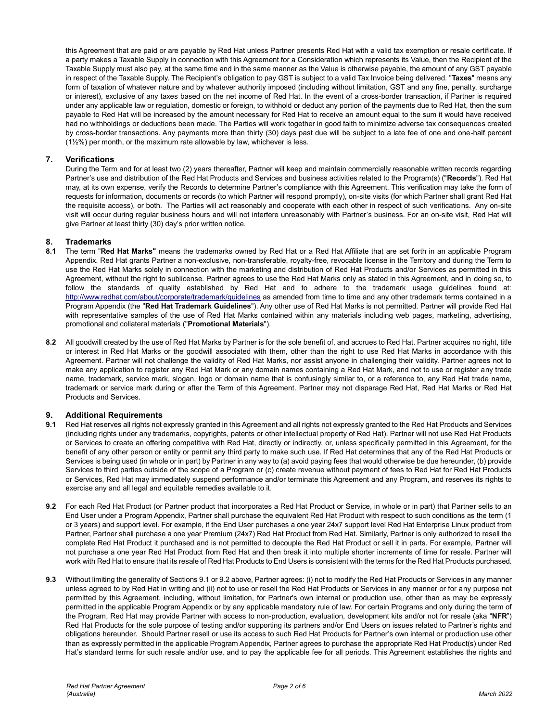this Agreement that are paid or are payable by Red Hat unless Partner presents Red Hat with a valid tax exemption or resale certificate. If a party makes a Taxable Supply in connection with this Agreement for a Consideration which represents its Value, then the Recipient of the Taxable Supply must also pay, at the same time and in the same manner as the Value is otherwise payable, the amount of any GST payable in respect of the Taxable Supply. The Recipient's obligation to pay GST is subject to a valid Tax Invoice being delivered. "**Taxes**" means any form of taxation of whatever nature and by whatever authority imposed (including without limitation, GST and any fine, penalty, surcharge or interest), exclusive of any taxes based on the net income of Red Hat. In the event of a cross-border transaction, if Partner is required under any applicable law or regulation, domestic or foreign, to withhold or deduct any portion of the payments due to Red Hat, then the sum payable to Red Hat will be increased by the amount necessary for Red Hat to receive an amount equal to the sum it would have received had no withholdings or deductions been made. The Parties will work together in good faith to minimize adverse tax consequences created by cross-border transactions. Any payments more than thirty (30) days past due will be subject to a late fee of one and one-half percent (1½%) per month, or the maximum rate allowable by law, whichever is less.

### **7. Verifications**

During the Term and for at least two (2) years thereafter, Partner will keep and maintain commercially reasonable written records regarding Partner's use and distribution of the Red Hat Products and Services and business activities related to the Program(s) ("**Records**"). Red Hat may, at its own expense, verify the Records to determine Partner's compliance with this Agreement. This verification may take the form of requests for information, documents or records (to which Partner will respond promptly), on-site visits (for which Partner shall grant Red Hat the requisite access), or both. The Parties will act reasonably and cooperate with each other in respect of such verifications. Any on-site visit will occur during regular business hours and will not interfere unreasonably with Partner's business. For an on-site visit, Red Hat will give Partner at least thirty (30) day's prior written notice.

# **8. Trademarks**

- **8.1** The term "**Red Hat Marks"** means the trademarks owned by Red Hat or a Red Hat Affiliate that are set forth in an applicable Program Appendix. Red Hat grants Partner a non-exclusive, non-transferable, royalty-free, revocable license in the Territory and during the Term to use the Red Hat Marks solely in connection with the marketing and distribution of Red Hat Products and/or Services as permitted in this Agreement, without the right to sublicense. Partner agrees to use the Red Hat Marks only as stated in this Agreement, and in doing so, to follow the standards of quality established by Red Hat and to adhere to the trademark usage guidelines found at: <http://www.redhat.com/about/corporate/trademark/guidelines> as amended from time to time and any other trademark terms contained in a Program Appendix (the "**Red Hat Trademark Guidelines**"). Any other use of Red Hat Marks is not permitted. Partner will provide Red Hat with representative samples of the use of Red Hat Marks contained within any materials including web pages, marketing, advertising, promotional and collateral materials ("**Promotional Materials**").
- **8.2** All goodwill created by the use of Red Hat Marks by Partner is for the sole benefit of, and accrues to Red Hat. Partner acquires no right, title or interest in Red Hat Marks or the goodwill associated with them, other than the right to use Red Hat Marks in accordance with this Agreement. Partner will not challenge the validity of Red Hat Marks, nor assist anyone in challenging their validity. Partner agrees not to make any application to register any Red Hat Mark or any domain names containing a Red Hat Mark, and not to use or register any trade name, trademark, service mark, slogan, logo or domain name that is confusingly similar to, or a reference to, any Red Hat trade name, trademark or service mark during or after the Term of this Agreement. Partner may not disparage Red Hat, Red Hat Marks or Red Hat Products and Services.

### **9. Additional Requirements**

- **9.1** Red Hat reserves all rights not expressly granted in this Agreement and all rights not expressly granted to the Red Hat Products and Services (including rights under any trademarks, copyrights, patents or other intellectual property of Red Hat). Partner will not use Red Hat Products or Services to create an offering competitive with Red Hat, directly or indirectly, or, unless specifically permitted in this Agreement, for the benefit of any other person or entity or permit any third party to make such use. If Red Hat determines that any of the Red Hat Products or Services is being used (in whole or in part) by Partner in any way to (a) avoid paying fees that would otherwise be due hereunder, (b) provide Services to third parties outside of the scope of a Program or (c) create revenue without payment of fees to Red Hat for Red Hat Products or Services, Red Hat may immediately suspend performance and/or terminate this Agreement and any Program, and reserves its rights to exercise any and all legal and equitable remedies available to it.
- **9.2** For each Red Hat Product (or Partner product that incorporates a Red Hat Product or Service, in whole or in part) that Partner sells to an End User under a Program Appendix, Partner shall purchase the equivalent Red Hat Product with respect to such conditions as the term (1 or 3 years) and support level. For example, if the End User purchases a one year 24x7 support level Red Hat Enterprise Linux product from Partner, Partner shall purchase a one year Premium (24x7) Red Hat Product from Red Hat. Similarly, Partner is only authorized to resell the complete Red Hat Product it purchased and is not permitted to decouple the Red Hat Product or sell it in parts. For example, Partner will not purchase a one year Red Hat Product from Red Hat and then break it into multiple shorter increments of time for resale. Partner will work with Red Hat to ensure that its resale of Red Hat Products to End Users is consistent with the terms for the Red Hat Products purchased.
- **9.3** Without limiting the generality of Sections 9.1 or 9.2 above, Partner agrees: (i) not to modify the Red Hat Products or Services in any manner unless agreed to by Red Hat in writing and (ii) not to use or resell the Red Hat Products or Services in any manner or for any purpose not permitted by this Agreement, including, without limitation, for Partner's own internal or production use, other than as may be expressly permitted in the applicable Program Appendix or by any applicable mandatory rule of law. For certain Programs and only during the term of the Program, Red Hat may provide Partner with access to non-production, evaluation, development kits and/or not for resale (aka "**NFR**") Red Hat Products for the sole purpose of testing and/or supporting its partners and/or End Users on issues related to Partner's rights and obligations hereunder. Should Partner resell or use its access to such Red Hat Products for Partner's own internal or production use other than as expressly permitted in the applicable Program Appendix, Partner agrees to purchase the appropriate Red Hat Product(s) under Red Hat's standard terms for such resale and/or use, and to pay the applicable fee for all periods. This Agreement establishes the rights and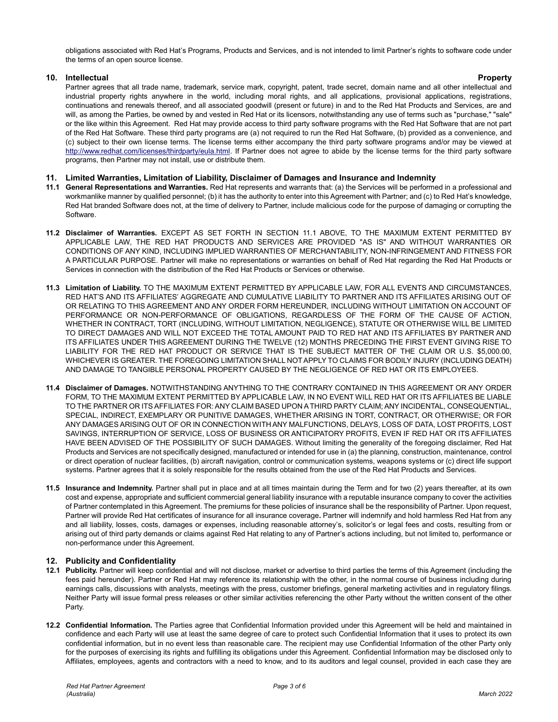obligations associated with Red Hat's Programs, Products and Services, and is not intended to limit Partner's rights to software code under the terms of an open source license.

### **10. Intellectual Property**

Partner agrees that all trade name, trademark, service mark, copyright, patent, trade secret, domain name and all other intellectual and industrial property rights anywhere in the world, including moral rights, and all applications, provisional applications, registrations, continuations and renewals thereof, and all associated goodwill (present or future) in and to the Red Hat Products and Services, are and will, as among the Parties, be owned by and vested in Red Hat or its licensors, notwithstanding any use of terms such as "purchase," "sale" or the like within this Agreement. Red Hat may provide access to third party software programs with the Red Hat Software that are not part of the Red Hat Software. These third party programs are (a) not required to run the Red Hat Software, (b) provided as a convenience, and (c) subject to their own license terms. The license terms either accompany the third party software programs and/or may be viewed at [http://www.redhat.com/licenses/thirdparty/eula.html.](http://www.redhat.com/licenses/thirdparty/eula.html) If Partner does not agree to abide by the license terms for the third party software programs, then Partner may not install, use or distribute them.

### **11. Limited Warranties, Limitation of Liability, Disclaimer of Damages and Insurance and Indemnity**

- **11.1 General Representations and Warranties.** Red Hat represents and warrants that: (a) the Services will be performed in a professional and workmanlike manner by qualified personnel; (b) it has the authority to enter into this Agreement with Partner; and (c) to Red Hat's knowledge, Red Hat branded Software does not, at the time of delivery to Partner, include malicious code for the purpose of damaging or corrupting the Software.
- **11.2 Disclaimer of Warranties.** EXCEPT AS SET FORTH IN SECTION 11.1 ABOVE, TO THE MAXIMUM EXTENT PERMITTED BY APPLICABLE LAW, THE RED HAT PRODUCTS AND SERVICES ARE PROVIDED "AS IS" AND WITHOUT WARRANTIES OR CONDITIONS OF ANY KIND, INCLUDING IMPLIED WARRANTIES OF MERCHANTABILITY, NON-INFRINGEMENT AND FITNESS FOR A PARTICULAR PURPOSE. Partner will make no representations or warranties on behalf of Red Hat regarding the Red Hat Products or Services in connection with the distribution of the Red Hat Products or Services or otherwise.
- **11.3 Limitation of Liability.** TO THE MAXIMUM EXTENT PERMITTED BY APPLICABLE LAW, FOR ALL EVENTS AND CIRCUMSTANCES, RED HAT'S AND ITS AFFILIATES' AGGREGATE AND CUMULATIVE LIABILITY TO PARTNER AND ITS AFFILIATES ARISING OUT OF OR RELATING TO THIS AGREEMENT AND ANY ORDER FORM HEREUNDER, INCLUDING WITHOUT LIMITATION ON ACCOUNT OF PERFORMANCE OR NON-PERFORMANCE OF OBLIGATIONS, REGARDLESS OF THE FORM OF THE CAUSE OF ACTION, WHETHER IN CONTRACT, TORT (INCLUDING, WITHOUT LIMITATION, NEGLIGENCE), STATUTE OR OTHERWISE WILL BE LIMITED TO DIRECT DAMAGES AND WILL NOT EXCEED THE TOTAL AMOUNT PAID TO RED HAT AND ITS AFFILIATES BY PARTNER AND ITS AFFILIATES UNDER THIS AGREEMENT DURING THE TWELVE (12) MONTHS PRECEDING THE FIRST EVENT GIVING RISE TO LIABILITY FOR THE RED HAT PRODUCT OR SERVICE THAT IS THE SUBJECT MATTER OF THE CLAIM OR U.S. \$5,000.00, WHICHEVER IS GREATER. THE FOREGOING LIMITATION SHALL NOT APPLY TO CLAIMS FOR BODILY INJURY (INCLUDING DEATH) AND DAMAGE TO TANGIBLE PERSONAL PROPERTY CAUSED BY THE NEGLIGENCE OF RED HAT OR ITS EMPLOYEES.
- **11.4 Disclaimer of Damages.** NOTWITHSTANDING ANYTHING TO THE CONTRARY CONTAINED IN THIS AGREEMENT OR ANY ORDER FORM, TO THE MAXIMUM EXTENT PERMITTED BY APPLICABLE LAW, IN NO EVENT WILL RED HAT OR ITS AFFILIATES BE LIABLE TO THE PARTNER OR ITS AFFILIATES FOR: ANY CLAIM BASED UPON A THIRD PARTY CLAIM; ANY INCIDENTAL, CONSEQUENTIAL, SPECIAL, INDIRECT, EXEMPLARY OR PUNITIVE DAMAGES, WHETHER ARISING IN TORT, CONTRACT, OR OTHERWISE; OR FOR ANY DAMAGES ARISING OUT OF OR IN CONNECTION WITH ANY MALFUNCTIONS, DELAYS, LOSS OF DATA, LOST PROFITS, LOST SAVINGS, INTERRUPTION OF SERVICE, LOSS OF BUSINESS OR ANTICIPATORY PROFITS, EVEN IF RED HAT OR ITS AFFILIATES HAVE BEEN ADVISED OF THE POSSIBILITY OF SUCH DAMAGES. Without limiting the generality of the foregoing disclaimer, Red Hat Products and Services are not specifically designed, manufactured or intended for use in (a) the planning, construction, maintenance, control or direct operation of nuclear facilities, (b) aircraft navigation, control or communication systems, weapons systems or (c) direct life support systems. Partner agrees that it is solely responsible for the results obtained from the use of the Red Hat Products and Services.
- **11.5 Insurance and Indemnity.** Partner shall put in place and at all times maintain during the Term and for two (2) years thereafter, at its own cost and expense, appropriate and sufficient commercial general liability insurance with a reputable insurance company to cover the activities of Partner contemplated in this Agreement. The premiums for these policies of insurance shall be the responsibility of Partner. Upon request, Partner will provide Red Hat certificates of insurance for all insurance coverage**.** Partner will indemnify and hold harmless Red Hat from any and all liability, losses, costs, damages or expenses, including reasonable attorney's, solicitor's or legal fees and costs, resulting from or arising out of third party demands or claims against Red Hat relating to any of Partner's actions including, but not limited to, performance or non-performance under this Agreement.

### **12. Publicity and Confidentiality**

- **12.1 Publicity.** Partner will keep confidential and will not disclose, market or advertise to third parties the terms of this Agreement (including the fees paid hereunder). Partner or Red Hat may reference its relationship with the other, in the normal course of business including during earnings calls, discussions with analysts, meetings with the press, customer briefings, general marketing activities and in regulatory filings. Neither Party will issue formal press releases or other similar activities referencing the other Party without the written consent of the other Party.
- **12.2 Confidential Information.** The Parties agree that Confidential Information provided under this Agreement will be held and maintained in confidence and each Party will use at least the same degree of care to protect such Confidential Information that it uses to protect its own confidential information, but in no event less than reasonable care. The recipient may use Confidential Information of the other Party only for the purposes of exercising its rights and fulfilling its obligations under this Agreement. Confidential Information may be disclosed only to Affiliates, employees, agents and contractors with a need to know, and to its auditors and legal counsel, provided in each case they are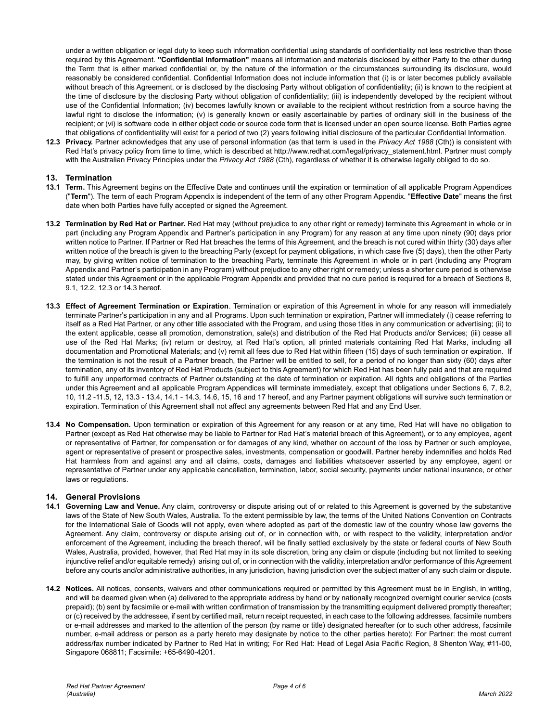under a written obligation or legal duty to keep such information confidential using standards of confidentiality not less restrictive than those required by this Agreement. **"Confidential Information"** means all information and materials disclosed by either Party to the other during the Term that is either marked confidential or, by the nature of the information or the circumstances surrounding its disclosure, would reasonably be considered confidential. Confidential Information does not include information that (i) is or later becomes publicly available without breach of this Agreement, or is disclosed by the disclosing Party without obligation of confidentiality; (ii) is known to the recipient at the time of disclosure by the disclosing Party without obligation of confidentiality; (iii) is independently developed by the recipient without use of the Confidential Information; (iv) becomes lawfully known or available to the recipient without restriction from a source having the lawful right to disclose the information; (v) is generally known or easily ascertainable by parties of ordinary skill in the business of the recipient; or (vi) is software code in either object code or source code form that is licensed under an open source license. Both Parties agree that obligations of confidentiality will exist for a period of two (2) years following initial disclosure of the particular Confidential Information.

**12.3 Privacy.** Partner acknowledges that any use of personal information (as that term is used in the *Privacy Act 1988* (Cth)) is consistent with Red Hat's privacy policy from time to time, which is described at http://www.redhat.com/legal/privacy\_statement.html. Partner must comply with the Australian Privacy Principles under the *Privacy Act 1988* (Cth), regardless of whether it is otherwise legally obliged to do so.

### **13. Termination**

- **13.1 Term.** This Agreement begins on the Effective Date and continues until the expiration or termination of all applicable Program Appendices ("**Term**"). The term of each Program Appendix is independent of the term of any other Program Appendix. "**Effective Date**" means the first date when both Parties have fully accepted or signed the Agreement.
- **13.2 Termination by Red Hat or Partner.** Red Hat may (without prejudice to any other right or remedy) terminate this Agreement in whole or in part (including any Program Appendix and Partner's participation in any Program) for any reason at any time upon ninety (90) days prior written notice to Partner. If Partner or Red Hat breaches the terms of this Agreement, and the breach is not cured within thirty (30) days after written notice of the breach is given to the breaching Party (except for payment obligations, in which case five (5) days), then the other Party may, by giving written notice of termination to the breaching Party, terminate this Agreement in whole or in part (including any Program Appendix and Partner's participation in any Program) without prejudice to any other right or remedy; unless a shorter cure period is otherwise stated under this Agreement or in the applicable Program Appendix and provided that no cure period is required for a breach of Sections 8, 9.1, 12.2, 12.3 or 14.3 hereof.
- **13.3 Effect of Agreement Termination or Expiration**. Termination or expiration of this Agreement in whole for any reason will immediately terminate Partner's participation in any and all Programs. Upon such termination or expiration, Partner will immediately (i) cease referring to itself as a Red Hat Partner, or any other title associated with the Program, and using those titles in any communication or advertising; (ii) to the extent applicable, cease all promotion, demonstration, sale(s) and distribution of the Red Hat Products and/or Services; (iii) cease all use of the Red Hat Marks; (iv) return or destroy, at Red Hat's option, all printed materials containing Red Hat Marks, including all documentation and Promotional Materials; and (v) remit all fees due to Red Hat within fifteen (15) days of such termination or expiration. If the termination is not the result of a Partner breach, the Partner will be entitled to sell, for a period of no longer than sixty (60) days after termination, any of its inventory of Red Hat Products (subject to this Agreement) for which Red Hat has been fully paid and that are required to fulfill any unperformed contracts of Partner outstanding at the date of termination or expiration. All rights and obligations of the Parties under this Agreement and all applicable Program Appendices will terminate immediately, except that obligations under Sections 6, 7, 8.2, 10, 11.2 -11.5, 12, 13.3 - 13.4, 14.1 - 14.3, 14.6, 15, 16 and 17 hereof, and any Partner payment obligations will survive such termination or expiration. Termination of this Agreement shall not affect any agreements between Red Hat and any End User.
- **13.4 No Compensation.** Upon termination or expiration of this Agreement for any reason or at any time, Red Hat will have no obligation to Partner (except as Red Hat otherwise may be liable to Partner for Red Hat's material breach of this Agreement), or to any employee, agent or representative of Partner, for compensation or for damages of any kind, whether on account of the loss by Partner or such employee, agent or representative of present or prospective sales, investments, compensation or goodwill. Partner hereby indemnifies and holds Red Hat harmless from and against any and all claims, costs, damages and liabilities whatsoever asserted by any employee, agent or representative of Partner under any applicable cancellation, termination, labor, social security, payments under national insurance, or other laws or regulations.

### **14. General Provisions**

- **14.1 Governing Law and Venue.** Any claim, controversy or dispute arising out of or related to this Agreement is governed by the substantive laws of the State of New South Wales, Australia. To the extent permissible by law, the terms of the United Nations Convention on Contracts for the International Sale of Goods will not apply, even where adopted as part of the domestic law of the country whose law governs the Agreement. Any claim, controversy or dispute arising out of, or in connection with, or with respect to the validity, interpretation and/or enforcement of the Agreement, including the breach thereof, will be finally settled exclusively by the state or federal courts of New South Wales, Australia, provided, however, that Red Hat may in its sole discretion, bring any claim or dispute (including but not limited to seeking injunctive relief and/or equitable remedy) arising out of, or in connection with the validity, interpretation and/or performance of this Agreement before any courts and/or administrative authorities, in any jurisdiction, having jurisdiction over the subject matter of any such claim or dispute.
- **14.2 Notices.** All notices, consents, waivers and other communications required or permitted by this Agreement must be in English, in writing, and will be deemed given when (a) delivered to the appropriate address by hand or by nationally recognized overnight courier service (costs prepaid); (b) sent by facsimile or e-mail with written confirmation of transmission by the transmitting equipment delivered promptly thereafter; or (c) received by the addressee, if sent by certified mail, return receipt requested, in each case to the following addresses, facsimile numbers or e-mail addresses and marked to the attention of the person (by name or title) designated hereafter (or to such other address, facsimile number, e-mail address or person as a party hereto may designate by notice to the other parties hereto): For Partner: the most current address/fax number indicated by Partner to Red Hat in writing; For Red Hat: Head of Legal Asia Pacific Region, 8 Shenton Way, #11-00, Singapore 068811; Facsimile: +65-6490-4201.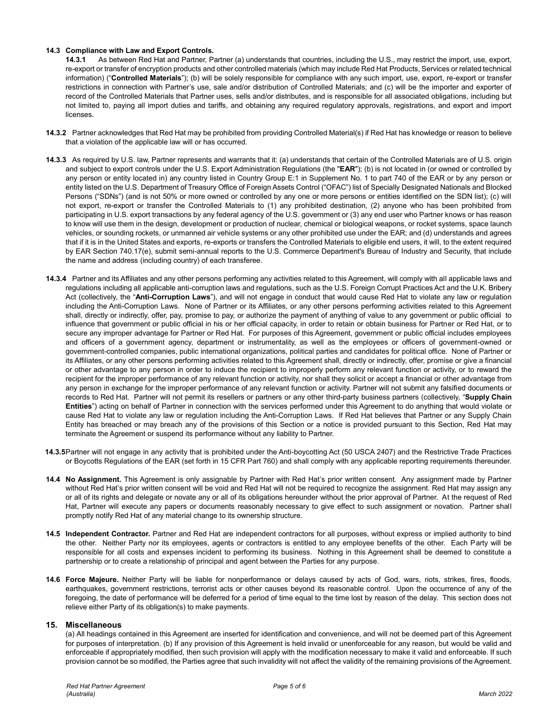### **14.3 Compliance with Law and Export Controls.**

**14.3.1** As between Red Hat and Partner, Partner (a) understands that countries, including the U.S., may restrict the import, use, export, re-export or transfer of encryption products and other controlled materials (which may include Red Hat Products, Services or related technical information) ("**Controlled Materials**"); (b) will be solely responsible for compliance with any such import, use, export, re-export or transfer restrictions in connection with Partner's use, sale and/or distribution of Controlled Materials; and (c) will be the importer and exporter of record of the Controlled Materials that Partner uses, sells and/or distributes, and is responsible for all associated obligations, including but not limited to, paying all import duties and tariffs, and obtaining any required regulatory approvals, registrations, and export and import licenses.

- **14.3.2** Partner acknowledges that Red Hat may be prohibited from providing Controlled Material(s) if Red Hat has knowledge or reason to believe that a violation of the applicable law will or has occurred.
- **14.3.3** As required by U.S. law, Partner represents and warrants that it: (a) understands that certain of the Controlled Materials are of U.S. origin and subject to export controls under the U.S. Export Administration Regulations (the "**EAR**"); (b) is not located in (or owned or controlled by any person or entity located in) any country listed in Country Group E:1 in Supplement No. 1 to part 740 of the EAR or by any person or entity listed on the U.S. Department of Treasury Office of Foreign Assets Control ("OFAC") list of Specially Designated Nationals and Blocked Persons ("SDNs") (and is not 50% or more owned or controlled by any one or more persons or entities identified on the SDN list); (c) will not export, re-export or transfer the Controlled Materials to (1) any prohibited destination, (2) anyone who has been prohibited from participating in U.S. export transactions by any federal agency of the U.S. government or (3) any end user who Partner knows or has reason to know will use them in the design, development or production of nuclear, chemical or biological weapons, or rocket systems, space launch vehicles, or sounding rockets, or unmanned air vehicle systems or any other prohibited use under the EAR; and (d) understands and agrees that if it is in the United States and exports, re-exports or transfers the Controlled Materials to eligible end users, it will, to the extent required by EAR Section 740.17(e), submit semi-annual reports to the U.S. Commerce Department's Bureau of Industry and Security, that include the name and address (including country) of each transferee.
- **14.3.4** Partner and its Affiliates and any other persons performing any activities related to this Agreement, will comply with all applicable laws and regulations including all applicable anti-corruption laws and regulations, such as the U.S. Foreign Corrupt Practices Act and the U.K. Bribery Act (collectively, the "**Anti-Corruption Laws**"), and will not engage in conduct that would cause Red Hat to violate any law or regulation including the Anti-Corruption Laws. None of Partner or its Affiliates, or any other persons performing activities related to this Agreement shall, directly or indirectly, offer, pay, promise to pay, or authorize the payment of anything of value to any government or public official to influence that government or public official in his or her official capacity, in order to retain or obtain business for Partner or Red Hat, or to secure any improper advantage for Partner or Red Hat. For purposes of this Agreement, government or public official includes employees and officers of a government agency, department or instrumentality, as well as the employees or officers of government-owned or government-controlled companies, public international organizations, political parties and candidates for political office. None of Partner or its Affiliates, or any other persons performing activities related to this Agreement shall, directly or indirectly, offer, promise or give a financial or other advantage to any person in order to induce the recipient to improperly perform any relevant function or activity, or to reward the recipient for the improper performance of any relevant function or activity, nor shall they solicit or accept a financial or other advantage from any person in exchange for the improper performance of any relevant function or activity. Partner will not submit any falsified documents or records to Red Hat. Partner will not permit its resellers or partners or any other third-party business partners (collectively, "**Supply Chain Entities**") acting on behalf of Partner in connection with the services performed under this Agreement to do anything that would violate or cause Red Hat to violate any law or regulation including the Anti-Corruption Laws. If Red Hat believes that Partner or any Supply Chain Entity has breached or may breach any of the provisions of this Section or a notice is provided pursuant to this Section, Red Hat may terminate the Agreement or suspend its performance without any liability to Partner.
- **14.3.5**Partner will not engage in any activity that is prohibited under the Anti-boycotting Act (50 USCA 2407) and the Restrictive Trade Practices or Boycotts Regulations of the EAR (set forth in 15 CFR Part 760) and shall comply with any applicable reporting requirements thereunder.
- **14.4 No Assignment.** This Agreement is only assignable by Partner with Red Hat's prior written consent. Any assignment made by Partner without Red Hat's prior written consent will be void and Red Hat will not be required to recognize the assignment. Red Hat may assign any or all of its rights and delegate or novate any or all of its obligations hereunder without the prior approval of Partner. At the request of Red Hat, Partner will execute any papers or documents reasonably necessary to give effect to such assignment or novation. Partner shall promptly notify Red Hat of any material change to its ownership structure.
- **14.5 Independent Contractor.** Partner and Red Hat are independent contractors for all purposes, without express or implied authority to bind the other. Neither Party nor its employees, agents or contractors is entitled to any employee benefits of the other. Each Party will be responsible for all costs and expenses incident to performing its business. Nothing in this Agreement shall be deemed to constitute a partnership or to create a relationship of principal and agent between the Parties for any purpose.
- **14.6 Force Majeure.** Neither Party will be liable for nonperformance or delays caused by acts of God, wars, riots, strikes, fires, floods, earthquakes, government restrictions, terrorist acts or other causes beyond its reasonable control. Upon the occurrence of any of the foregoing, the date of performance will be deferred for a period of time equal to the time lost by reason of the delay. This section does not relieve either Party of its obligation(s) to make payments.

### **15. Miscellaneous**

(a) All headings contained in this Agreement are inserted for identification and convenience, and will not be deemed part of this Agreement for purposes of interpretation. (b) If any provision of this Agreement is held invalid or unenforceable for any reason, but would be valid and enforceable if appropriately modified, then such provision will apply with the modification necessary to make it valid and enforceable. If such provision cannot be so modified, the Parties agree that such invalidity will not affect the validity of the remaining provisions of the Agreement.